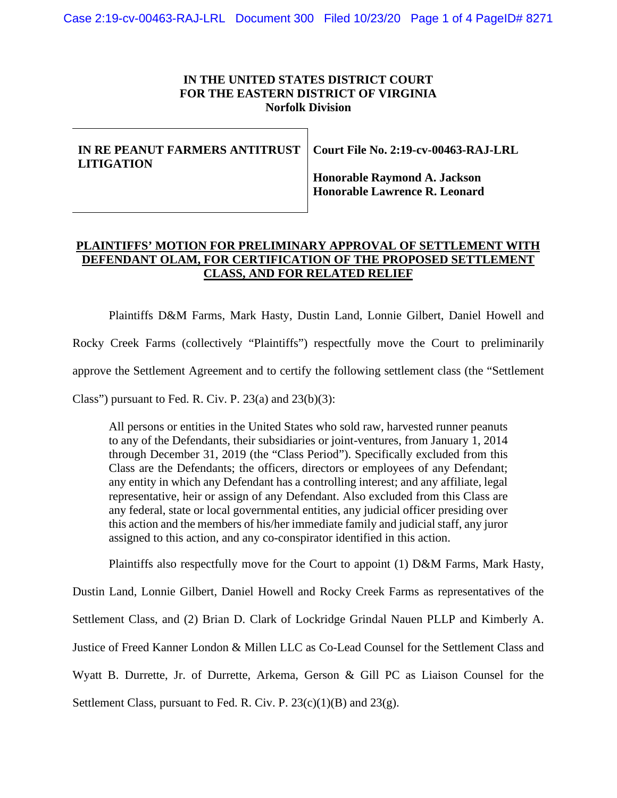### **IN THE UNITED STATES DISTRICT COURT FOR THE EASTERN DISTRICT OF VIRGINIA Norfolk Division**

# **IN RE PEANUT FARMERS ANTITRUST LITIGATION**

**Court File No. 2:19-cv-00463-RAJ-LRL**

**Honorable Raymond A. Jackson Honorable Lawrence R. Leonard**

## **PLAINTIFFS' MOTION FOR PRELIMINARY APPROVAL OF SETTLEMENT WITH DEFENDANT OLAM, FOR CERTIFICATION OF THE PROPOSED SETTLEMENT CLASS, AND FOR RELATED RELIEF**

Plaintiffs D&M Farms, Mark Hasty, Dustin Land, Lonnie Gilbert, Daniel Howell and Rocky Creek Farms (collectively "Plaintiffs") respectfully move the Court to preliminarily approve the Settlement Agreement and to certify the following settlement class (the "Settlement Class") pursuant to Fed. R. Civ. P.  $23(a)$  and  $23(b)(3)$ :

All persons or entities in the United States who sold raw, harvested runner peanuts to any of the Defendants, their subsidiaries or joint-ventures, from January 1, 2014 through December 31, 2019 (the "Class Period"). Specifically excluded from this Class are the Defendants; the officers, directors or employees of any Defendant; any entity in which any Defendant has a controlling interest; and any affiliate, legal representative, heir or assign of any Defendant. Also excluded from this Class are any federal, state or local governmental entities, any judicial officer presiding over this action and the members of his/her immediate family and judicial staff, any juror assigned to this action, and any co-conspirator identified in this action.

Plaintiffs also respectfully move for the Court to appoint (1) D&M Farms, Mark Hasty,

Dustin Land, Lonnie Gilbert, Daniel Howell and Rocky Creek Farms as representatives of the Settlement Class, and (2) Brian D. Clark of Lockridge Grindal Nauen PLLP and Kimberly A. Justice of Freed Kanner London & Millen LLC as Co-Lead Counsel for the Settlement Class and Wyatt B. Durrette, Jr. of Durrette, Arkema, Gerson & Gill PC as Liaison Counsel for the Settlement Class, pursuant to Fed. R. Civ. P.  $23(c)(1)(B)$  and  $23(g)$ .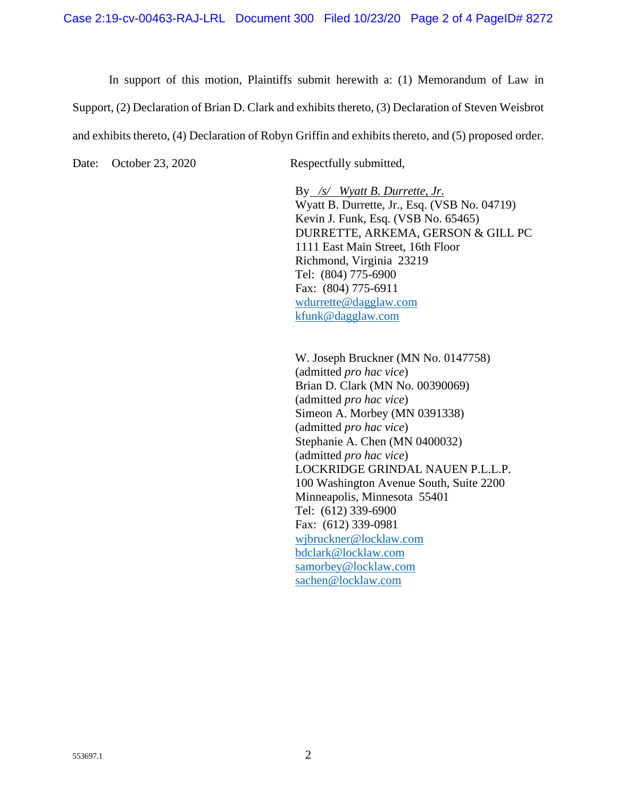In support of this motion, Plaintiffs submit herewith a: (1) Memorandum of Law in Support, (2) Declaration of Brian D. Clark and exhibits thereto, (3) Declaration of Steven Weisbrot and exhibits thereto, (4) Declaration of Robyn Griffin and exhibits thereto, and (5) proposed order.

Date: October 23, 2020 Respectfully submitted,

By */s/ Wyatt B. Durrette, Jr.* Wyatt B. Durrette, Jr., Esq. (VSB No. 04719) Kevin J. Funk, Esq. (VSB No. 65465) DURRETTE, ARKEMA, GERSON & GILL PC 1111 East Main Street, 16th Floor Richmond, Virginia 23219 Tel: (804) 775-6900 Fax: (804) 775-6911 wdurrette@dagglaw.com kfunk@dagglaw.com

W. Joseph Bruckner (MN No. 0147758) (admitted *pro hac vice*) Brian D. Clark (MN No. 00390069) (admitted *pro hac vice*) Simeon A. Morbey (MN 0391338) (admitted *pro hac vice*) Stephanie A. Chen (MN 0400032) (admitted *pro hac vice*) LOCKRIDGE GRINDAL NAUEN P.L.L.P. 100 Washington Avenue South, Suite 2200 Minneapolis, Minnesota 55401 Tel: (612) 339-6900 Fax: (612) 339-0981 wjbruckner@locklaw.com bdclark@locklaw.com samorbey@locklaw.com sachen@locklaw.com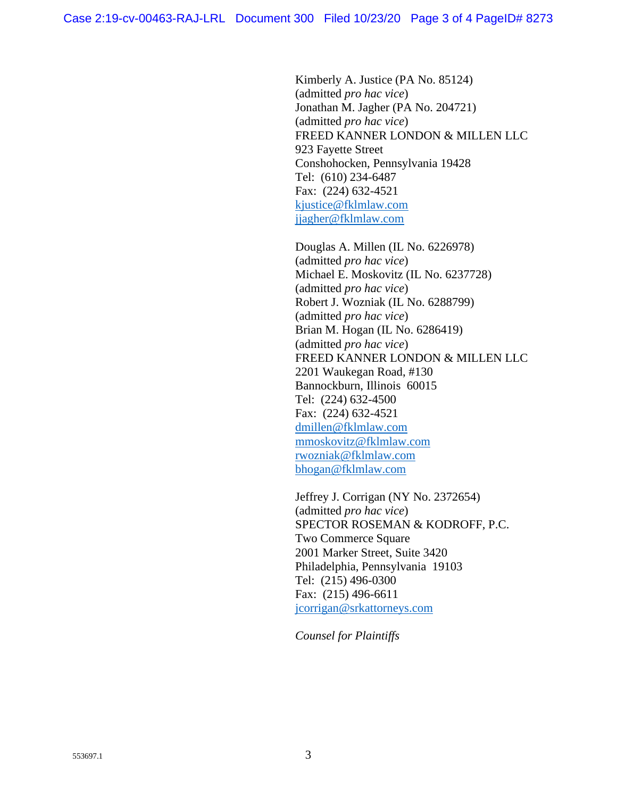Kimberly A. Justice (PA No. 85124) (admitted *pro hac vice*) Jonathan M. Jagher (PA No. 204721) (admitted *pro hac vice*) FREED KANNER LONDON & MILLEN LLC 923 Fayette Street Conshohocken, Pennsylvania 19428 Tel: (610) 234-6487 Fax: (224) 632-4521 kjustice@fklmlaw.com jjagher@fklmlaw.com

Douglas A. Millen (IL No. 6226978) (admitted *pro hac vice*) Michael E. Moskovitz (IL No. 6237728) (admitted *pro hac vice*) Robert J. Wozniak (IL No. 6288799) (admitted *pro hac vice*) Brian M. Hogan (IL No. 6286419) (admitted *pro hac vice*) FREED KANNER LONDON & MILLEN LLC 2201 Waukegan Road, #130 Bannockburn, Illinois 60015 Tel: (224) 632-4500 Fax: (224) 632-4521 dmillen@fklmlaw.com mmoskovitz@fklmlaw.com rwozniak@fklmlaw.com bhogan@fklmlaw.com

Jeffrey J. Corrigan (NY No. 2372654) (admitted *pro hac vice*) SPECTOR ROSEMAN & KODROFF, P.C. Two Commerce Square 2001 Marker Street, Suite 3420 Philadelphia, Pennsylvania 19103 Tel: (215) 496-0300 Fax: (215) 496-6611 jcorrigan@srkattorneys.com

*Counsel for Plaintiffs*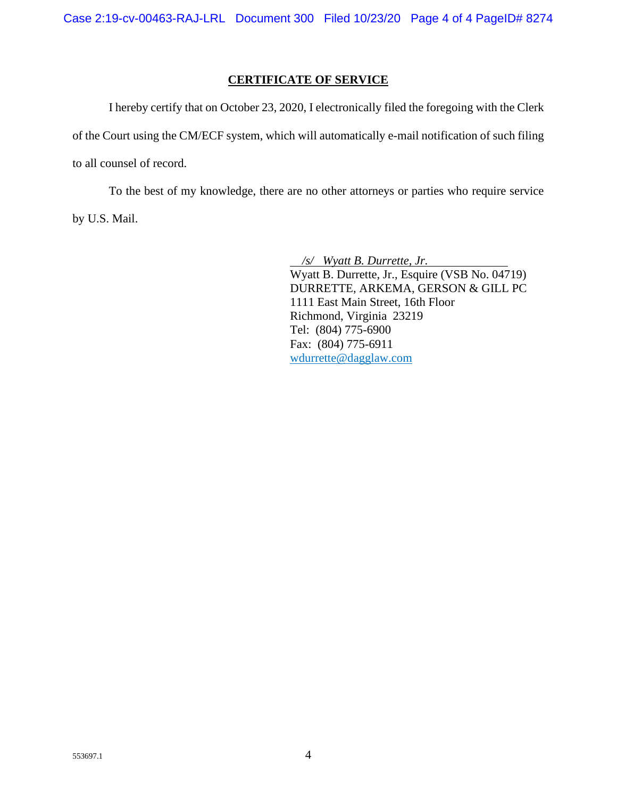## **CERTIFICATE OF SERVICE**

I hereby certify that on October 23, 2020, I electronically filed the foregoing with the Clerk of the Court using the CM/ECF system, which will automatically e-mail notification of such filing to all counsel of record.

To the best of my knowledge, there are no other attorneys or parties who require service by U.S. Mail.

> */s/ Wyatt B. Durrette, Jr.* Wyatt B. Durrette, Jr., Esquire (VSB No. 04719) DURRETTE, ARKEMA, GERSON & GILL PC 1111 East Main Street, 16th Floor Richmond, Virginia 23219 Tel: (804) 775-6900 Fax: (804) 775-6911 wdurrette@dagglaw.com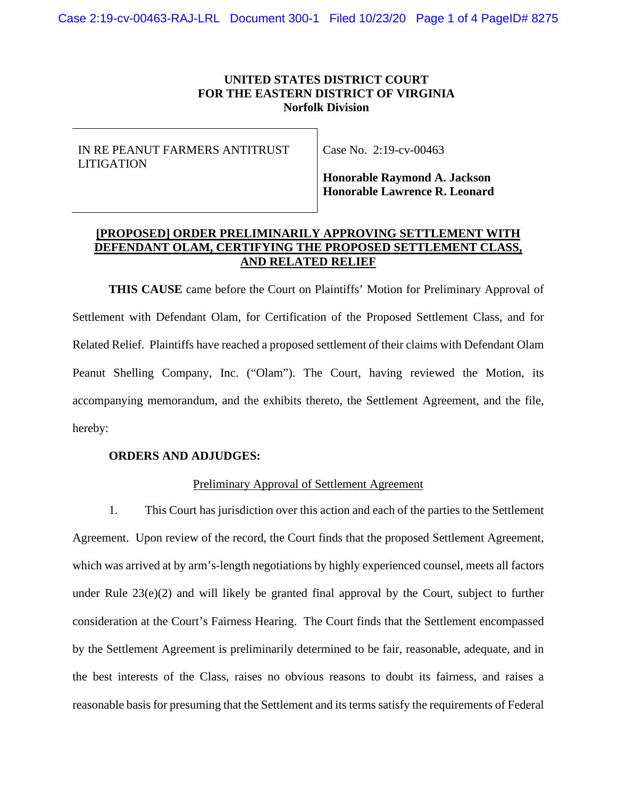### **UNITED STATES DISTRICT COURT FOR THE EASTERN DISTRICT OF VIRGINIA Norfolk Division**

IN RE PEANUT FARMERS ANTITRUST LITIGATION

Case No. 2:19-cv-00463

**Honorable Raymond A. Jackson Honorable Lawrence R. Leonard**

# **[PROPOSED] ORDER PRELIMINARILY APPROVING SETTLEMENT WITH DEFENDANT OLAM, CERTIFYING THE PROPOSED SETTLEMENT CLASS, AND RELATED RELIEF**

**THIS CAUSE** came before the Court on Plaintiffs' Motion for Preliminary Approval of Settlement with Defendant Olam, for Certification of the Proposed Settlement Class, and for Related Relief. Plaintiffs have reached a proposed settlement of their claims with Defendant Olam Peanut Shelling Company, Inc. ("Olam"). The Court, having reviewed the Motion, its accompanying memorandum, and the exhibits thereto, the Settlement Agreement, and the file, hereby:

### **ORDERS AND ADJUDGES:**

### Preliminary Approval of Settlement Agreement

1. This Court has jurisdiction over this action and each of the parties to the Settlement Agreement. Upon review of the record, the Court finds that the proposed Settlement Agreement, which was arrived at by arm's-length negotiations by highly experienced counsel, meets all factors under Rule 23(e)(2) and will likely be granted final approval by the Court, subject to further consideration at the Court's Fairness Hearing. The Court finds that the Settlement encompassed by the Settlement Agreement is preliminarily determined to be fair, reasonable, adequate, and in the best interests of the Class, raises no obvious reasons to doubt its fairness, and raises a reasonable basis for presuming that the Settlement and its terms satisfy the requirements of Federal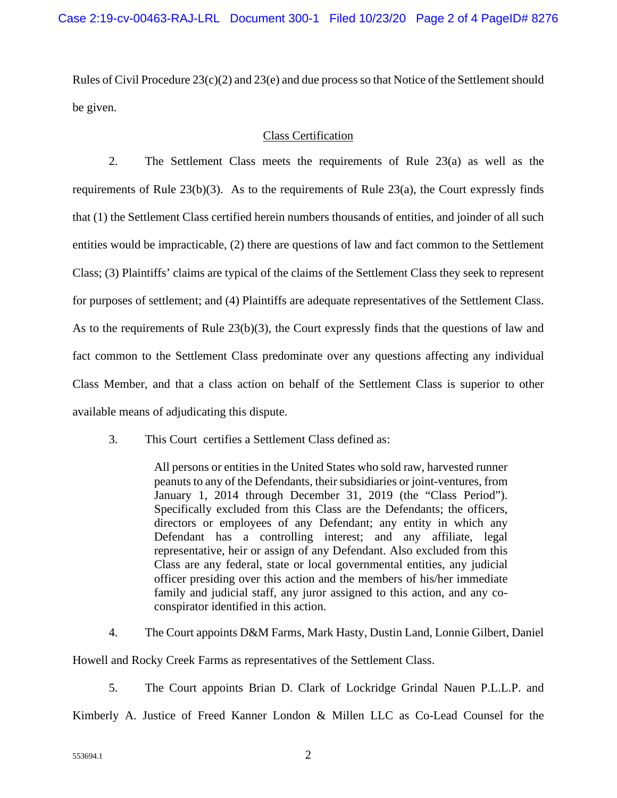Rules of Civil Procedure  $23(c)(2)$  and  $23(e)$  and due process so that Notice of the Settlement should be given.

## Class Certification

2. The Settlement Class meets the requirements of Rule 23(a) as well as the requirements of Rule  $23(b)(3)$ . As to the requirements of Rule  $23(a)$ , the Court expressly finds that (1) the Settlement Class certified herein numbers thousands of entities, and joinder of all such entities would be impracticable, (2) there are questions of law and fact common to the Settlement Class; (3) Plaintiffs' claims are typical of the claims of the Settlement Class they seek to represent for purposes of settlement; and (4) Plaintiffs are adequate representatives of the Settlement Class. As to the requirements of Rule 23(b)(3), the Court expressly finds that the questions of law and fact common to the Settlement Class predominate over any questions affecting any individual Class Member, and that a class action on behalf of the Settlement Class is superior to other available means of adjudicating this dispute.

3. This Court certifies a Settlement Class defined as:

All persons or entities in the United States who sold raw, harvested runner peanuts to any of the Defendants, their subsidiaries or joint-ventures, from January 1, 2014 through December 31, 2019 (the "Class Period"). Specifically excluded from this Class are the Defendants; the officers, directors or employees of any Defendant; any entity in which any Defendant has a controlling interest; and any affiliate, legal representative, heir or assign of any Defendant. Also excluded from this Class are any federal, state or local governmental entities, any judicial officer presiding over this action and the members of his/her immediate family and judicial staff, any juror assigned to this action, and any coconspirator identified in this action.

4. The Court appoints D&M Farms, Mark Hasty, Dustin Land, Lonnie Gilbert, Daniel

Howell and Rocky Creek Farms as representatives of the Settlement Class.

5. The Court appoints Brian D. Clark of Lockridge Grindal Nauen P.L.L.P. and

Kimberly A. Justice of Freed Kanner London & Millen LLC as Co-Lead Counsel for the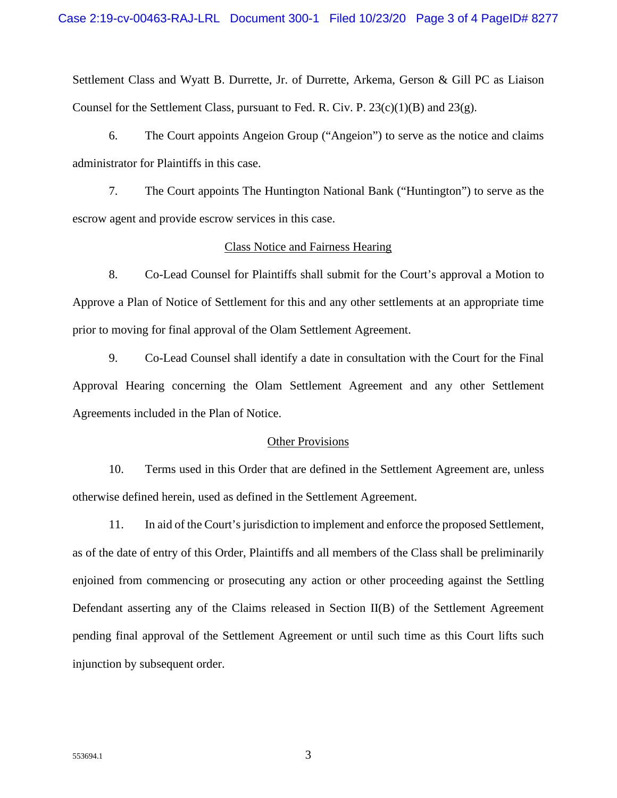Settlement Class and Wyatt B. Durrette, Jr. of Durrette, Arkema, Gerson & Gill PC as Liaison Counsel for the Settlement Class, pursuant to Fed. R. Civ. P.  $23(c)(1)(B)$  and  $23(g)$ .

6. The Court appoints Angeion Group ("Angeion") to serve as the notice and claims administrator for Plaintiffs in this case.

7. The Court appoints The Huntington National Bank ("Huntington") to serve as the escrow agent and provide escrow services in this case.

#### Class Notice and Fairness Hearing

8. Co-Lead Counsel for Plaintiffs shall submit for the Court's approval a Motion to Approve a Plan of Notice of Settlement for this and any other settlements at an appropriate time prior to moving for final approval of the Olam Settlement Agreement.

9. Co-Lead Counsel shall identify a date in consultation with the Court for the Final Approval Hearing concerning the Olam Settlement Agreement and any other Settlement Agreements included in the Plan of Notice.

#### Other Provisions

10. Terms used in this Order that are defined in the Settlement Agreement are, unless otherwise defined herein, used as defined in the Settlement Agreement.

11. In aid of the Court's jurisdiction to implement and enforce the proposed Settlement, as of the date of entry of this Order, Plaintiffs and all members of the Class shall be preliminarily enjoined from commencing or prosecuting any action or other proceeding against the Settling Defendant asserting any of the Claims released in Section II(B) of the Settlement Agreement pending final approval of the Settlement Agreement or until such time as this Court lifts such injunction by subsequent order.